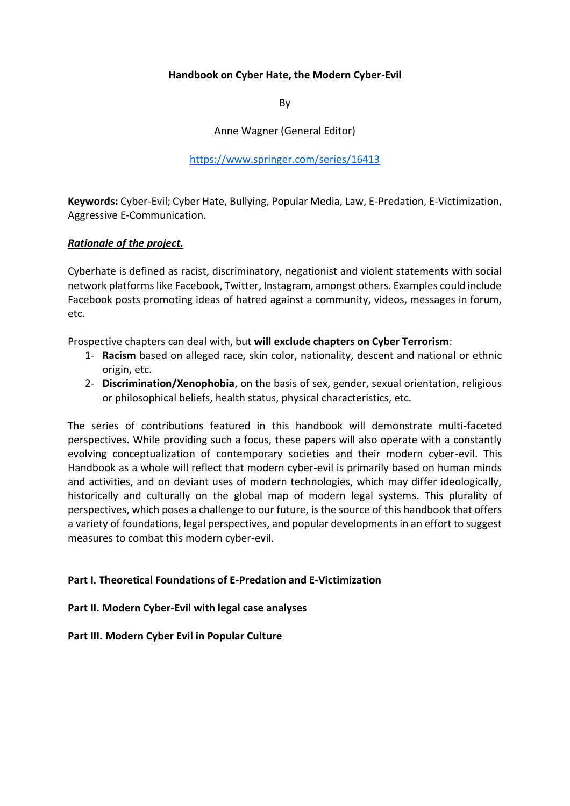# **Handbook on Cyber Hate, the Modern Cyber-Evil**

By

Anne Wagner (General Editor)

<https://www.springer.com/series/16413>

**Keywords:** Cyber-Evil; Cyber Hate, Bullying, Popular Media, Law, E-Predation, E-Victimization, Aggressive E-Communication.

## *Rationale of the project.*

Cyberhate is defined as racist, discriminatory, negationist and violent statements with social network platforms like Facebook, Twitter, Instagram, amongst others. Examples could include Facebook posts promoting ideas of hatred against a community, videos, messages in forum, etc.

Prospective chapters can deal with, but **will exclude chapters on Cyber Terrorism**:

- 1- **Racism** based on alleged race, skin color, nationality, descent and national or ethnic origin, etc.
- 2- **Discrimination/Xenophobia**, on the basis of sex, gender, sexual orientation, religious or philosophical beliefs, health status, physical characteristics, etc.

The series of contributions featured in this handbook will demonstrate multi-faceted perspectives. While providing such a focus, these papers will also operate with a constantly evolving conceptualization of contemporary societies and their modern cyber-evil. This Handbook as a whole will reflect that modern cyber-evil is primarily based on human minds and activities, and on deviant uses of modern technologies, which may differ ideologically, historically and culturally on the global map of modern legal systems. This plurality of perspectives, which poses a challenge to our future, is the source of this handbook that offers a variety of foundations, legal perspectives, and popular developments in an effort to suggest measures to combat this modern cyber-evil.

## **Part I. Theoretical Foundations of E-Predation and E-Victimization**

## **Part II. Modern Cyber-Evil with legal case analyses**

## **Part III. Modern Cyber Evil in Popular Culture**